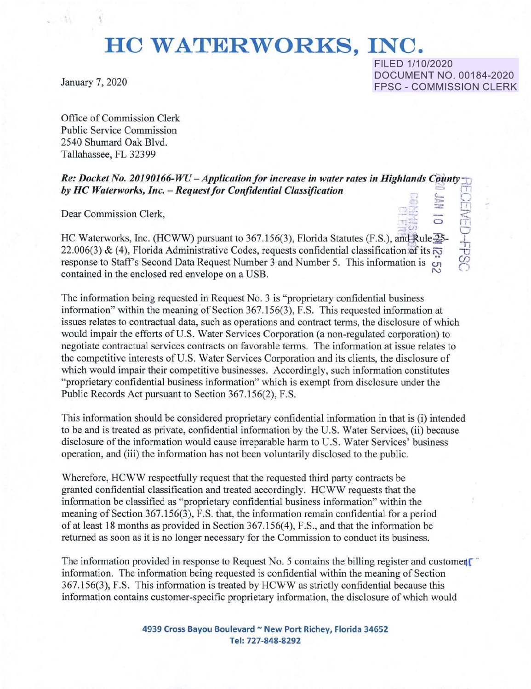## **HO WATERWORKS, INC.**

FILED 1/10/2020 January 7, 2020 DOCUMENT NO. 00184-2020 FPSC - COMMISSION CLERK

**:n,.** .,· == 17"1

""D *u:, r""I*  ~- -·

 $\frac{1}{2}$   $\frac{1}{2}$   $\frac{1}{2}$   $\frac{1}{2}$   $\frac{1}{2}$   $\frac{1}{2}$   $\frac{1}{2}$   $\frac{1}{2}$   $\frac{1}{2}$   $\frac{1}{2}$   $\frac{1}{2}$   $\frac{1}{2}$   $\frac{1}{2}$   $\frac{1}{2}$   $\frac{1}{2}$   $\frac{1}{2}$   $\frac{1}{2}$   $\frac{1}{2}$   $\frac{1}{2}$   $\frac{1}{2}$   $\frac{1}{2}$   $\frac{1}{2}$ 

Office of Commission Clerk Public Service Commission 2540 Shumard Oak Blvd. Tallahassee, FL 32399

*Re: Docket No. 20190166-WU - Application for increase in water rates in Highlands County* **by HC Waterworks, Inc. - Request for Confidential Classification** 

Dear Commission Clerk,

<sup>-16</sup><br>
HC Waterworks, Inc. (HCWW) pursuant to 367.156(3), Florida Statutes (F.S.), and Rule<sup>25</sup><br>
22 006(3) & (4) Florida Administrative Codes, requests confidential classification of its 22.006(3) & (4), Florida Administrative Codes, requests confidential classification of its  $\overline{\infty}$ response to Staff's Second Data Request Number 3 and Number 5. This information is *:.;,*  contained in the enclosed red envelope on a USB.

The information being requested in Request No. 3 is "proprietary confidential business information" within the meaning of Section 367.156(3), F.S. This requested information at issues relates to contractual data, such as operations and contract terms, the disclosure of which would impair the efforts of U.S. Water Services Corporation (a non-regulated corporation) to negotiate contractual services contracts on favorable terms. The information at issue relates to the competitive interests of U.S. Water Services Corporation and its clients, the disclosure of which would impair their competitive businesses. Accordingly, such information constitutes "proprietary confidential business information" which is exempt from disclosure under the Public Records Act pursuant to Section 367.156(2), F.S.

This information should be considered proprietary confidential information in that is (i) intended to be and is treated as private, confidential information by the U.S. Water Services, (ii) because disclosure of the information would cause irreparable harm to U.S. Water Services' business operation, and (iii) the information has not been voluntarily disclosed to the public.

Wherefore, HCWW respectfully request that the requested third party contracts be granted confidential classification and treated accordingly. HCWW requests that the information be classified as "proprietary confidential business information" within the meaning of Section 367.156(3), F.S. that, the information remain confidential for a period ofat least 18 months as provided in Section 367.156(4), F.S., and that the information be returned as soon as it is no longer necessary for the Commission to conduct its business.

The information provided in response to Request No. 5 contains the billing register and customer information. The information being requested is confidential within the meaning of Section 367.156(3), F.S. This information is treated by HCWW as strictly confidential because this information contains customer-specific proprietary information, the disclosure of which would

> **4939 Cross Bayou Boulevard** - **New Port Richey, Florida 34652**  Tel: **727-848-8292**